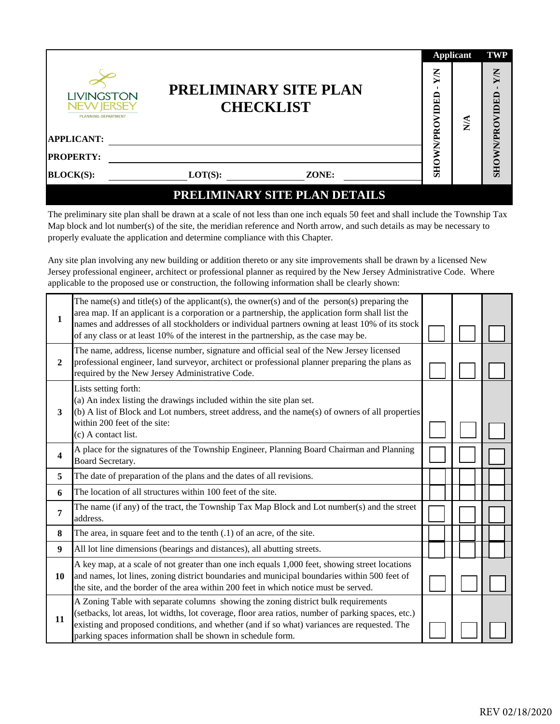| LIVINGSTON<br><b>NEW JERSEY</b><br><b>PLANNING DEPARTMENT</b><br><b>APPLICANT:</b> |            | <b>PRELIMINARY SITE PLAN</b><br><b>CHECKLIST</b> | XW<br>IDED<br>VPRO | <b>Applicant</b><br>$\frac{4}{5}$ | <b>TWP</b><br>XN<br>SHOWNPROVIDED |
|------------------------------------------------------------------------------------|------------|--------------------------------------------------|--------------------|-----------------------------------|-----------------------------------|
| <b>PROPERTY:</b>                                                                   |            |                                                  | ⋚                  |                                   |                                   |
| <b>BLOCK(S):</b>                                                                   | $LOT(S)$ : | ZONE:                                            | SHO                |                                   |                                   |
|                                                                                    |            | <b>PRELIMINARY SITE PLAN DETAILS</b>             |                    |                                   |                                   |

The preliminary site plan shall be drawn at a scale of not less than one inch equals 50 feet and shall include the Township Tax Map block and lot number(s) of the site, the meridian reference and North arrow, and such details as may be necessary to properly evaluate the application and determine compliance with this Chapter.

Any site plan involving any new building or addition thereto or any site improvements shall be drawn by a licensed New Jersey professional engineer, architect or professional planner as required by the New Jersey Administrative Code. Where applicable to the proposed use or construction, the following information shall be clearly shown:

| 1            | The name(s) and title(s) of the applicant(s), the owner(s) and of the person(s) preparing the<br>area map. If an applicant is a corporation or a partnership, the application form shall list the<br>names and addresses of all stockholders or individual partners owning at least 10% of its stock<br>of any class or at least 10% of the interest in the partnership, as the case may be. |  |  |
|--------------|----------------------------------------------------------------------------------------------------------------------------------------------------------------------------------------------------------------------------------------------------------------------------------------------------------------------------------------------------------------------------------------------|--|--|
| $\mathbf{2}$ | The name, address, license number, signature and official seal of the New Jersey licensed<br>professional engineer, land surveyor, architect or professional planner preparing the plans as<br>required by the New Jersey Administrative Code.                                                                                                                                               |  |  |
| 3            | Lists setting forth:<br>(a) An index listing the drawings included within the site plan set.<br>$(b)$ A list of Block and Lot numbers, street address, and the name(s) of owners of all properties<br>within 200 feet of the site:<br>(c) A contact list.                                                                                                                                    |  |  |
| 4            | A place for the signatures of the Township Engineer, Planning Board Chairman and Planning<br>Board Secretary.                                                                                                                                                                                                                                                                                |  |  |
| 5            | The date of preparation of the plans and the dates of all revisions.                                                                                                                                                                                                                                                                                                                         |  |  |
| 6            | The location of all structures within 100 feet of the site.                                                                                                                                                                                                                                                                                                                                  |  |  |
| 7            | The name (if any) of the tract, the Township Tax Map Block and Lot number(s) and the street<br>address.                                                                                                                                                                                                                                                                                      |  |  |
| 8            | The area, in square feet and to the tenth $(.1)$ of an acre, of the site.                                                                                                                                                                                                                                                                                                                    |  |  |
| 9            | All lot line dimensions (bearings and distances), all abutting streets.                                                                                                                                                                                                                                                                                                                      |  |  |
| 10           | A key map, at a scale of not greater than one inch equals 1,000 feet, showing street locations<br>and names, lot lines, zoning district boundaries and municipal boundaries within 500 feet of<br>the site, and the border of the area within 200 feet in which notice must be served.                                                                                                       |  |  |
| 11           | A Zoning Table with separate columns showing the zoning district bulk requirements<br>(setbacks, lot areas, lot widths, lot coverage, floor area ratios, number of parking spaces, etc.)<br>existing and proposed conditions, and whether (and if so what) variances are requested. The<br>parking spaces information shall be shown in schedule form.                                       |  |  |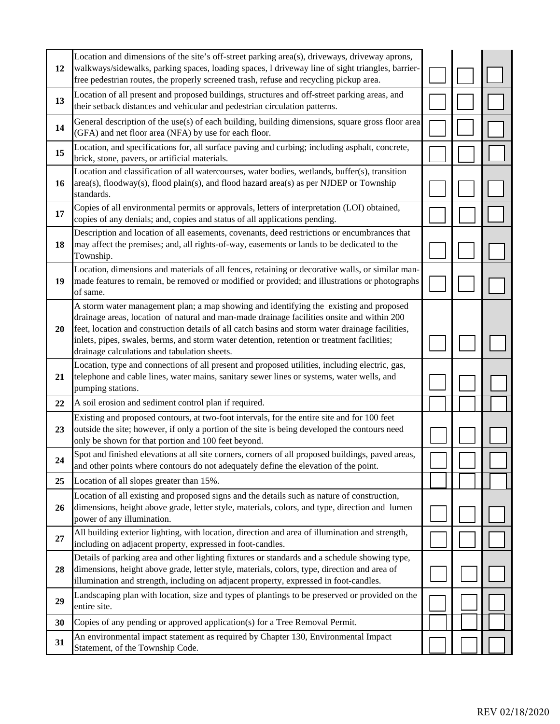| 12 | Location and dimensions of the site's off-street parking area(s), driveways, driveway aprons,<br>walkways/sidewalks, parking spaces, loading spaces, l driveway line of sight triangles, barrier-<br>free pedestrian routes, the properly screened trash, refuse and recycling pickup area.                                                                                                                                             |  |  |
|----|-----------------------------------------------------------------------------------------------------------------------------------------------------------------------------------------------------------------------------------------------------------------------------------------------------------------------------------------------------------------------------------------------------------------------------------------|--|--|
| 13 | Location of all present and proposed buildings, structures and off-street parking areas, and<br>their setback distances and vehicular and pedestrian circulation patterns.                                                                                                                                                                                                                                                              |  |  |
| 14 | General description of the use(s) of each building, building dimensions, square gross floor area<br>(GFA) and net floor area (NFA) by use for each floor.                                                                                                                                                                                                                                                                               |  |  |
| 15 | Location, and specifications for, all surface paving and curbing; including asphalt, concrete,<br>brick, stone, pavers, or artificial materials.                                                                                                                                                                                                                                                                                        |  |  |
| 16 | Location and classification of all watercourses, water bodies, wetlands, buffer(s), transition<br>area(s), floodway(s), flood plain(s), and flood hazard area(s) as per NJDEP or Township<br>standards.                                                                                                                                                                                                                                 |  |  |
| 17 | Copies of all environmental permits or approvals, letters of interpretation (LOI) obtained,<br>copies of any denials; and, copies and status of all applications pending.                                                                                                                                                                                                                                                               |  |  |
| 18 | Description and location of all easements, covenants, deed restrictions or encumbrances that<br>may affect the premises; and, all rights-of-way, easements or lands to be dedicated to the<br>Township.                                                                                                                                                                                                                                 |  |  |
| 19 | Location, dimensions and materials of all fences, retaining or decorative walls, or similar man-<br>made features to remain, be removed or modified or provided; and illustrations or photographs<br>of same.                                                                                                                                                                                                                           |  |  |
| 20 | A storm water management plan; a map showing and identifying the existing and proposed<br>drainage areas, location of natural and man-made drainage facilities onsite and within 200<br>feet, location and construction details of all catch basins and storm water drainage facilities,<br>inlets, pipes, swales, berms, and storm water detention, retention or treatment facilities;<br>drainage calculations and tabulation sheets. |  |  |
| 21 | Location, type and connections of all present and proposed utilities, including electric, gas,<br>telephone and cable lines, water mains, sanitary sewer lines or systems, water wells, and<br>pumping stations.                                                                                                                                                                                                                        |  |  |
| 22 | A soil erosion and sediment control plan if required.                                                                                                                                                                                                                                                                                                                                                                                   |  |  |
| 23 | Existing and proposed contours, at two-foot intervals, for the entire site and for 100 feet<br>outside the site; however, if only a portion of the site is being developed the contours need<br>only be shown for that portion and 100 feet beyond.                                                                                                                                                                                     |  |  |
| 24 | Spot and finished elevations at all site corners, corners of all proposed buildings, paved areas,<br>and other points where contours do not adequately define the elevation of the point.                                                                                                                                                                                                                                               |  |  |
| 25 | Location of all slopes greater than 15%.                                                                                                                                                                                                                                                                                                                                                                                                |  |  |
| 26 | Location of all existing and proposed signs and the details such as nature of construction,<br>dimensions, height above grade, letter style, materials, colors, and type, direction and lumen<br>power of any illumination.                                                                                                                                                                                                             |  |  |
| 27 | All building exterior lighting, with location, direction and area of illumination and strength,<br>including on adjacent property, expressed in foot-candles.                                                                                                                                                                                                                                                                           |  |  |
| 28 | Details of parking area and other lighting fixtures or standards and a schedule showing type,<br>dimensions, height above grade, letter style, materials, colors, type, direction and area of<br>illumination and strength, including on adjacent property, expressed in foot-candles.                                                                                                                                                  |  |  |
| 29 | Landscaping plan with location, size and types of plantings to be preserved or provided on the<br>entire site.                                                                                                                                                                                                                                                                                                                          |  |  |
| 30 | Copies of any pending or approved application(s) for a Tree Removal Permit.                                                                                                                                                                                                                                                                                                                                                             |  |  |
| 31 | An environmental impact statement as required by Chapter 130, Environmental Impact<br>Statement, of the Township Code.                                                                                                                                                                                                                                                                                                                  |  |  |